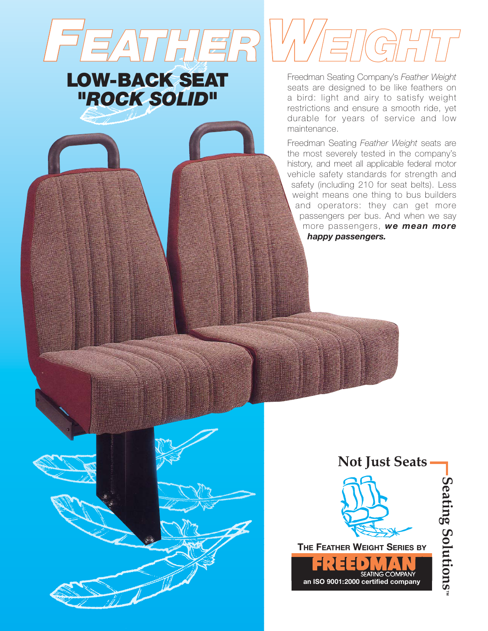Freedman Seating Company's *Feather Weight* seats are designed to be like feathers on a bird: light and airy to satisfy weight restrictions and ensure a smooth ride, yet durable for years of service and low maintenance.

*FEATHERWEIGHT*

**LOW-BACK SEAT**

*"ROCK SOLID"* 

Freedman Seating *Feather Weight* seats are the most severely tested in the company's history, and meet all applicable federal motor vehicle safety standards for strength and safety (including 210 for seat belts). Less weight means one thing to bus builders and operators: they can get more passengers per bus. And when we say more passengers, *we mean more happy passengers.*

**THE FEATHER WEIGHT SERIES BY**

14 S D

**Not Just Seats**

**SEATING COMPANY** 

**an ISO 9001:2000 certified company**

**Seating Solutions** Seating Solutions<sup>"</sup>